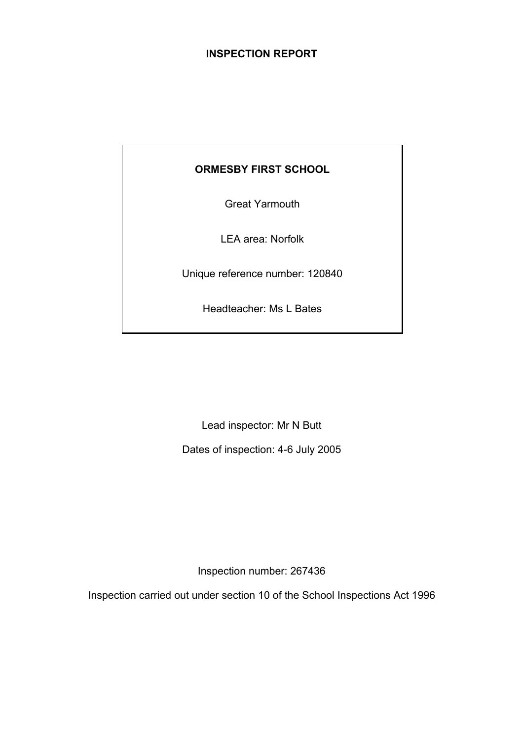# **INSPECTION REPORT**

# **ORMESBY FIRST SCHOOL**

Great Yarmouth

LEA area: Norfolk

Unique reference number: 120840

Headteacher: Ms L Bates

Lead inspector: Mr N Butt

Dates of inspection: 4-6 July 2005

Inspection number: 267436

Inspection carried out under section 10 of the School Inspections Act 1996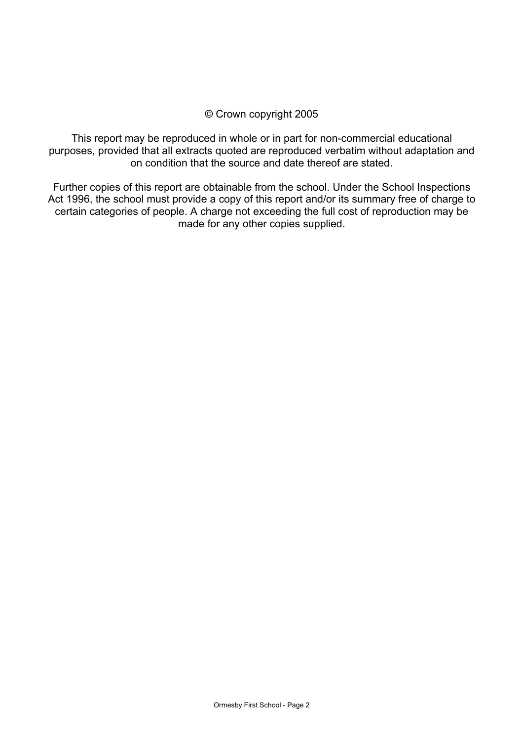### © Crown copyright 2005

This report may be reproduced in whole or in part for non-commercial educational purposes, provided that all extracts quoted are reproduced verbatim without adaptation and on condition that the source and date thereof are stated.

Further copies of this report are obtainable from the school. Under the School Inspections Act 1996, the school must provide a copy of this report and/or its summary free of charge to certain categories of people. A charge not exceeding the full cost of reproduction may be made for any other copies supplied.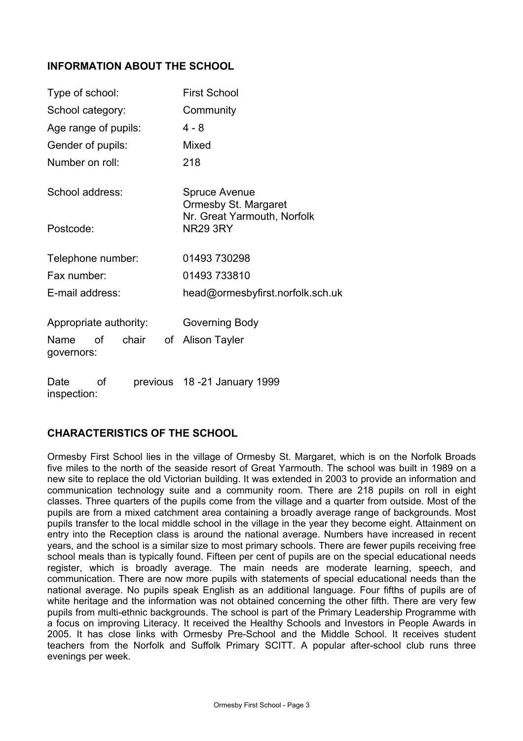# **INFORMATION ABOUT THE SCHOOL**

| Type of school:                         | <b>First School</b>                            |  |  |
|-----------------------------------------|------------------------------------------------|--|--|
| School category:                        | Community                                      |  |  |
| Age range of pupils:                    | $4 - 8$                                        |  |  |
| Gender of pupils:                       | Mixed                                          |  |  |
| Number on roll:                         | 218                                            |  |  |
| School address:                         | <b>Spruce Avenue</b><br>Ormesby St. Margaret   |  |  |
| Postcode:                               | Nr. Great Yarmouth, Norfolk<br><b>NR29 3RY</b> |  |  |
| Telephone number:                       | 01493 730298                                   |  |  |
| Fax number:                             | 01493 733810                                   |  |  |
| E-mail address:                         | head@ormesbyfirst.norfolk.sch.uk               |  |  |
| Appropriate authority:                  | Governing Body                                 |  |  |
| οf<br>chair<br>of<br>Name<br>governors: | <b>Alison Tayler</b>                           |  |  |
| οf<br>Date<br>previous                  | 18 -21 January 1999                            |  |  |

inspection:

# **CHARACTERISTICS OF THE SCHOOL**

Ormesby First School lies in the village of Ormesby St. Margaret, which is on the Norfolk Broads five miles to the north of the seaside resort of Great Yarmouth. The school was built in 1989 on a new site to replace the old Victorian building. It was extended in 2003 to provide an information and communication technology suite and a community room. There are 218 pupils on roll in eight classes. Three quarters of the pupils come from the village and a quarter from outside. Most of the pupils are from a mixed catchment area containing a broadly average range of backgrounds. Most pupils transfer to the local middle school in the village in the year they become eight. Attainment on entry into the Reception class is around the national average. Numbers have increased in recent years, and the school is a similar size to most primary schools. There are fewer pupils receiving free school meals than is typically found. Fifteen per cent of pupils are on the special educational needs register, which is broadly average. The main needs are moderate learning, speech, and communication. There are now more pupils with statements of special educational needs than the national average. No pupils speak English as an additional language. Four fifths of pupils are of white heritage and the information was not obtained concerning the other fifth. There are very few pupils from multi-ethnic backgrounds. The school is part of the Primary Leadership Programme with a focus on improving Literacy. It received the Healthy Schools and Investors in People Awards in 2005. It has close links with Ormesby Pre-School and the Middle School. It receives student teachers from the Norfolk and Suffolk Primary SCITT. A popular after-school club runs three evenings per week.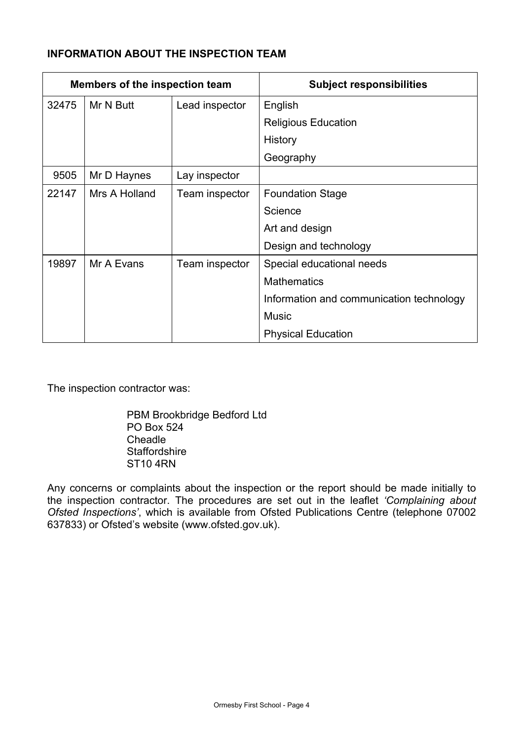# **INFORMATION ABOUT THE INSPECTION TEAM**

| Members of the inspection team |               |                | <b>Subject responsibilities</b>          |
|--------------------------------|---------------|----------------|------------------------------------------|
| 32475                          | Mr N Butt     | Lead inspector | English                                  |
|                                |               |                | <b>Religious Education</b>               |
|                                |               |                | History                                  |
|                                |               |                | Geography                                |
| 9505                           | Mr D Haynes   | Lay inspector  |                                          |
| 22147                          | Mrs A Holland | Team inspector | <b>Foundation Stage</b>                  |
|                                |               |                | Science                                  |
|                                |               |                | Art and design                           |
|                                |               |                | Design and technology                    |
| 19897                          | Mr A Evans    | Team inspector | Special educational needs                |
|                                |               |                | <b>Mathematics</b>                       |
|                                |               |                | Information and communication technology |
|                                |               |                | <b>Music</b>                             |
|                                |               |                | <b>Physical Education</b>                |

The inspection contractor was:

 PBM Brookbridge Bedford Ltd PO Box 524 Cheadle **Staffordshire** ST10 4RN

Any concerns or complaints about the inspection or the report should be made initially to the inspection contractor. The procedures are set out in the leaflet *'Complaining about Ofsted Inspections'*, which is available from Ofsted Publications Centre (telephone 07002 637833) or Ofsted's website (www.ofsted.gov.uk).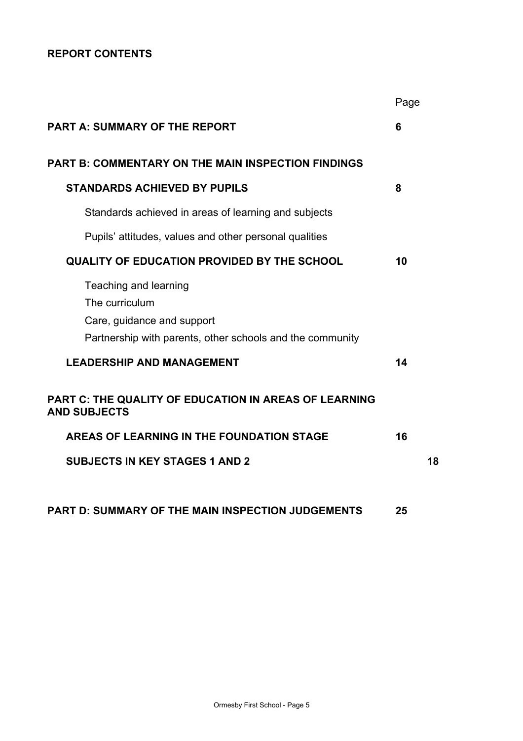# **REPORT CONTENTS**

|                                                                                                                                    | Page |    |
|------------------------------------------------------------------------------------------------------------------------------------|------|----|
| <b>PART A: SUMMARY OF THE REPORT</b>                                                                                               | 6    |    |
| <b>PART B: COMMENTARY ON THE MAIN INSPECTION FINDINGS</b>                                                                          |      |    |
| <b>STANDARDS ACHIEVED BY PUPILS</b>                                                                                                | 8    |    |
| Standards achieved in areas of learning and subjects                                                                               |      |    |
| Pupils' attitudes, values and other personal qualities                                                                             |      |    |
| <b>QUALITY OF EDUCATION PROVIDED BY THE SCHOOL</b>                                                                                 | 10   |    |
| Teaching and learning<br>The curriculum<br>Care, guidance and support<br>Partnership with parents, other schools and the community |      |    |
| <b>LEADERSHIP AND MANAGEMENT</b>                                                                                                   | 14   |    |
| PART C: THE QUALITY OF EDUCATION IN AREAS OF LEARNING<br><b>AND SUBJECTS</b>                                                       |      |    |
| AREAS OF LEARNING IN THE FOUNDATION STAGE                                                                                          | 16   |    |
| <b>SUBJECTS IN KEY STAGES 1 AND 2</b>                                                                                              |      | 18 |
|                                                                                                                                    |      |    |
| <b>PART D: SUMMARY OF THE MAIN INSPECTION JUDGEMENTS</b>                                                                           | 25   |    |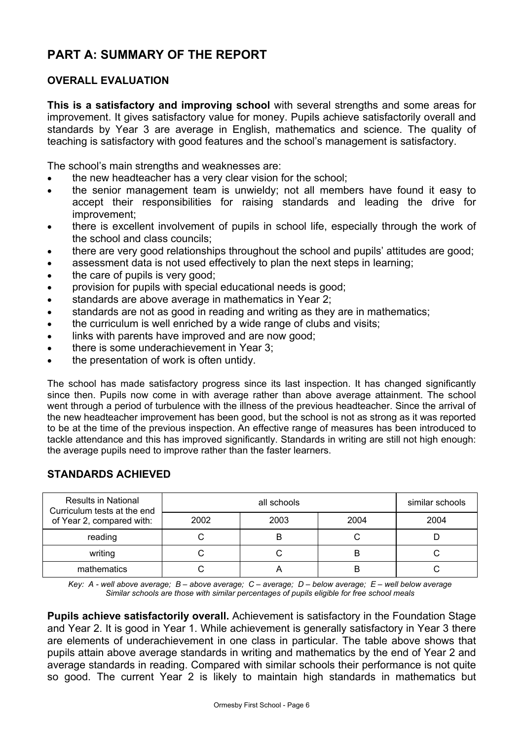# **PART A: SUMMARY OF THE REPORT**

# **OVERALL EVALUATION**

**This is a satisfactory and improving school** with several strengths and some areas for improvement. It gives satisfactory value for money. Pupils achieve satisfactorily overall and standards by Year 3 are average in English, mathematics and science. The quality of teaching is satisfactory with good features and the school's management is satisfactory.

The school's main strengths and weaknesses are:

- the new headteacher has a very clear vision for the school;
- the senior management team is unwieldy; not all members have found it easy to accept their responsibilities for raising standards and leading the drive for improvement;
- there is excellent involvement of pupils in school life, especially through the work of the school and class councils;
- there are very good relationships throughout the school and pupils' attitudes are good;
- assessment data is not used effectively to plan the next steps in learning;
- the care of pupils is very good:
- provision for pupils with special educational needs is good;
- standards are above average in mathematics in Year 2;
- standards are not as good in reading and writing as they are in mathematics;
- the curriculum is well enriched by a wide range of clubs and visits;
- links with parents have improved and are now good:
- there is some underachievement in Year 3;
- the presentation of work is often untidy.

The school has made satisfactory progress since its last inspection. It has changed significantly since then. Pupils now come in with average rather than above average attainment. The school went through a period of turbulence with the illness of the previous headteacher. Since the arrival of the new headteacher improvement has been good, but the school is not as strong as it was reported to be at the time of the previous inspection. An effective range of measures has been introduced to tackle attendance and this has improved significantly. Standards in writing are still not high enough: the average pupils need to improve rather than the faster learners.

| <b>Results in National</b><br>Curriculum tests at the end |      | similar schools |      |      |
|-----------------------------------------------------------|------|-----------------|------|------|
| of Year 2, compared with:                                 | 2002 | 2003            | 2004 | 2004 |
| reading                                                   |      |                 |      |      |
| writing                                                   |      |                 | В    |      |
| mathematics                                               |      |                 |      |      |

# **STANDARDS ACHIEVED**

*Key: A - well above average; B – above average; C – average; D – below average; E – well below average Similar schools are those with similar percentages of pupils eligible for free school meals* 

**Pupils achieve satisfactorily overall.** Achievement is satisfactory in the Foundation Stage and Year 2. It is good in Year 1. While achievement is generally satisfactory in Year 3 there are elements of underachievement in one class in particular. The table above shows that pupils attain above average standards in writing and mathematics by the end of Year 2 and average standards in reading. Compared with similar schools their performance is not quite so good. The current Year 2 is likely to maintain high standards in mathematics but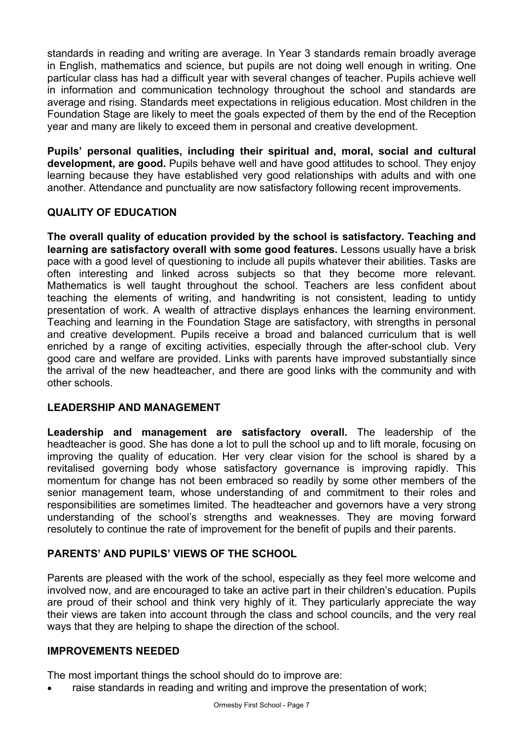standards in reading and writing are average. In Year 3 standards remain broadly average in English, mathematics and science, but pupils are not doing well enough in writing. One particular class has had a difficult year with several changes of teacher. Pupils achieve well in information and communication technology throughout the school and standards are average and rising. Standards meet expectations in religious education. Most children in the Foundation Stage are likely to meet the goals expected of them by the end of the Reception year and many are likely to exceed them in personal and creative development.

**Pupils' personal qualities, including their spiritual and, moral, social and cultural development, are good.** Pupils behave well and have good attitudes to school. They enjoy learning because they have established very good relationships with adults and with one another. Attendance and punctuality are now satisfactory following recent improvements.

# **QUALITY OF EDUCATION**

**The overall quality of education provided by the school is satisfactory. Teaching and learning are satisfactory overall with some good features.** Lessons usually have a brisk pace with a good level of questioning to include all pupils whatever their abilities. Tasks are often interesting and linked across subjects so that they become more relevant. Mathematics is well taught throughout the school. Teachers are less confident about teaching the elements of writing, and handwriting is not consistent, leading to untidy presentation of work. A wealth of attractive displays enhances the learning environment. Teaching and learning in the Foundation Stage are satisfactory, with strengths in personal and creative development. Pupils receive a broad and balanced curriculum that is well enriched by a range of exciting activities, especially through the after-school club. Very good care and welfare are provided. Links with parents have improved substantially since the arrival of the new headteacher, and there are good links with the community and with other schools.

# **LEADERSHIP AND MANAGEMENT**

**Leadership and management are satisfactory overall.** The leadership of the headteacher is good. She has done a lot to pull the school up and to lift morale, focusing on improving the quality of education. Her very clear vision for the school is shared by a revitalised governing body whose satisfactory governance is improving rapidly. This momentum for change has not been embraced so readily by some other members of the senior management team, whose understanding of and commitment to their roles and responsibilities are sometimes limited. The headteacher and governors have a very strong understanding of the school's strengths and weaknesses. They are moving forward resolutely to continue the rate of improvement for the benefit of pupils and their parents.

# **PARENTS' AND PUPILS' VIEWS OF THE SCHOOL**

Parents are pleased with the work of the school, especially as they feel more welcome and involved now, and are encouraged to take an active part in their children's education. Pupils are proud of their school and think very highly of it. They particularly appreciate the way their views are taken into account through the class and school councils, and the very real ways that they are helping to shape the direction of the school.

### **IMPROVEMENTS NEEDED**

The most important things the school should do to improve are:

raise standards in reading and writing and improve the presentation of work;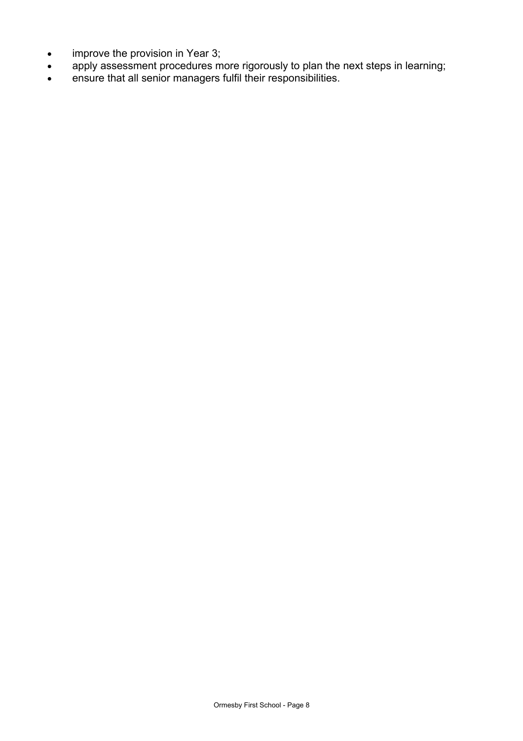- improve the provision in Year 3;
- apply assessment procedures more rigorously to plan the next steps in learning;
- ensure that all senior managers fulfil their responsibilities.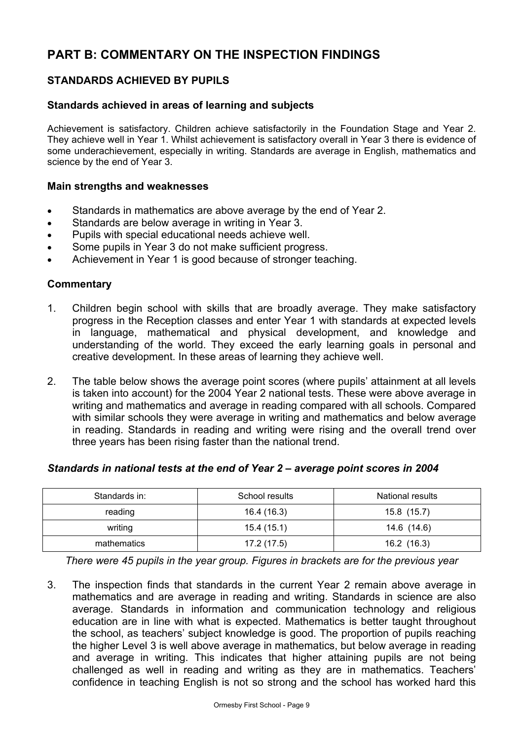# **PART B: COMMENTARY ON THE INSPECTION FINDINGS**

# **STANDARDS ACHIEVED BY PUPILS**

### **Standards achieved in areas of learning and subjects**

Achievement is satisfactory. Children achieve satisfactorily in the Foundation Stage and Year 2. They achieve well in Year 1. Whilst achievement is satisfactory overall in Year 3 there is evidence of some underachievement, especially in writing. Standards are average in English, mathematics and science by the end of Year 3.

### **Main strengths and weaknesses**

- Standards in mathematics are above average by the end of Year 2.
- Standards are below average in writing in Year 3.
- Pupils with special educational needs achieve well.
- Some pupils in Year 3 do not make sufficient progress.
- Achievement in Year 1 is good because of stronger teaching.

### **Commentary**

- 1. Children begin school with skills that are broadly average. They make satisfactory progress in the Reception classes and enter Year 1 with standards at expected levels in language, mathematical and physical development, and knowledge and understanding of the world. They exceed the early learning goals in personal and creative development. In these areas of learning they achieve well.
- 2. The table below shows the average point scores (where pupils' attainment at all levels is taken into account) for the 2004 Year 2 national tests. These were above average in writing and mathematics and average in reading compared with all schools. Compared with similar schools they were average in writing and mathematics and below average in reading. Standards in reading and writing were rising and the overall trend over three years has been rising faster than the national trend.

### *Standards in national tests at the end of Year 2 – average point scores in 2004*

| Standards in: | School results | National results |
|---------------|----------------|------------------|
| reading       | 16.4 (16.3)    | 15.8 (15.7)      |
| writing       | 15.4(15.1)     | 14.6 (14.6)      |
| mathematics   | 17.2 (17.5)    | 16.2(16.3)       |

*There were 45 pupils in the year group. Figures in brackets are for the previous year* 

3. The inspection finds that standards in the current Year 2 remain above average in mathematics and are average in reading and writing. Standards in science are also average. Standards in information and communication technology and religious education are in line with what is expected. Mathematics is better taught throughout the school, as teachers' subject knowledge is good. The proportion of pupils reaching the higher Level 3 is well above average in mathematics, but below average in reading and average in writing. This indicates that higher attaining pupils are not being challenged as well in reading and writing as they are in mathematics. Teachers' confidence in teaching English is not so strong and the school has worked hard this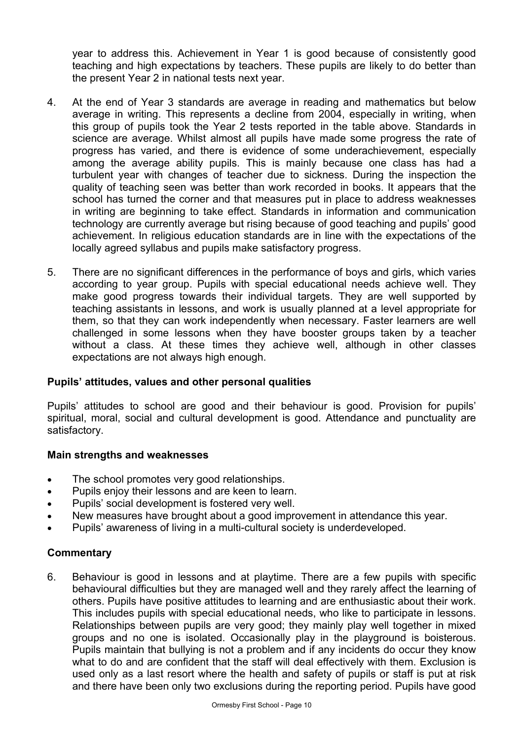year to address this. Achievement in Year 1 is good because of consistently good teaching and high expectations by teachers. These pupils are likely to do better than the present Year 2 in national tests next year.

- 4. At the end of Year 3 standards are average in reading and mathematics but below average in writing. This represents a decline from 2004, especially in writing, when this group of pupils took the Year 2 tests reported in the table above. Standards in science are average. Whilst almost all pupils have made some progress the rate of progress has varied, and there is evidence of some underachievement, especially among the average ability pupils. This is mainly because one class has had a turbulent year with changes of teacher due to sickness. During the inspection the quality of teaching seen was better than work recorded in books. It appears that the school has turned the corner and that measures put in place to address weaknesses in writing are beginning to take effect. Standards in information and communication technology are currently average but rising because of good teaching and pupils' good achievement. In religious education standards are in line with the expectations of the locally agreed syllabus and pupils make satisfactory progress.
- 5. There are no significant differences in the performance of boys and girls, which varies according to year group. Pupils with special educational needs achieve well. They make good progress towards their individual targets. They are well supported by teaching assistants in lessons, and work is usually planned at a level appropriate for them, so that they can work independently when necessary. Faster learners are well challenged in some lessons when they have booster groups taken by a teacher without a class. At these times they achieve well, although in other classes expectations are not always high enough.

### **Pupils' attitudes, values and other personal qualities**

Pupils' attitudes to school are good and their behaviour is good. Provision for pupils' spiritual, moral, social and cultural development is good. Attendance and punctuality are satisfactory.

### **Main strengths and weaknesses**

- The school promotes very good relationships.
- Pupils enjoy their lessons and are keen to learn.
- Pupils' social development is fostered very well.
- New measures have brought about a good improvement in attendance this year.
- Pupils' awareness of living in a multi-cultural society is underdeveloped.

# **Commentary**

6. Behaviour is good in lessons and at playtime. There are a few pupils with specific behavioural difficulties but they are managed well and they rarely affect the learning of others. Pupils have positive attitudes to learning and are enthusiastic about their work. This includes pupils with special educational needs, who like to participate in lessons. Relationships between pupils are very good; they mainly play well together in mixed groups and no one is isolated. Occasionally play in the playground is boisterous. Pupils maintain that bullying is not a problem and if any incidents do occur they know what to do and are confident that the staff will deal effectively with them. Exclusion is used only as a last resort where the health and safety of pupils or staff is put at risk and there have been only two exclusions during the reporting period. Pupils have good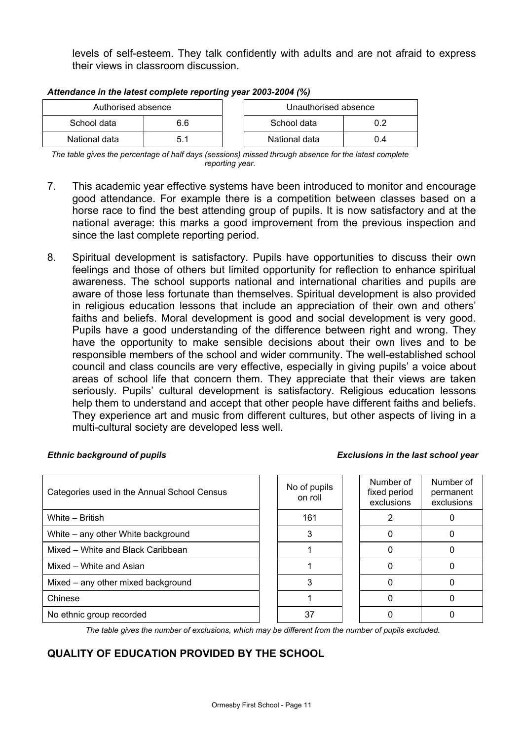levels of self-esteem. They talk confidently with adults and are not afraid to express their views in classroom discussion.

| Authorised absence |     |  | Unauthorised absence |     |
|--------------------|-----|--|----------------------|-----|
| School data        | 6.6 |  | School data          |     |
| National data      | 51  |  | National data        | 0.4 |

#### *Attendance in the latest complete reporting year 2003-2004 (%)*

*The table gives the percentage of half days (sessions) missed through absence for the latest complete reporting year.*

- 7. This academic year effective systems have been introduced to monitor and encourage good attendance. For example there is a competition between classes based on a horse race to find the best attending group of pupils. It is now satisfactory and at the national average: this marks a good improvement from the previous inspection and since the last complete reporting period.
- 8. Spiritual development is satisfactory. Pupils have opportunities to discuss their own feelings and those of others but limited opportunity for reflection to enhance spiritual awareness. The school supports national and international charities and pupils are aware of those less fortunate than themselves. Spiritual development is also provided in religious education lessons that include an appreciation of their own and others' faiths and beliefs. Moral development is good and social development is very good. Pupils have a good understanding of the difference between right and wrong. They have the opportunity to make sensible decisions about their own lives and to be responsible members of the school and wider community. The well-established school council and class councils are very effective, especially in giving pupils' a voice about areas of school life that concern them. They appreciate that their views are taken seriously. Pupils' cultural development is satisfactory. Religious education lessons help them to understand and accept that other people have different faiths and beliefs. They experience art and music from different cultures, but other aspects of living in a multi-cultural society are developed less well.

#### *Ethnic background of pupils Exclusions in the last school year*

| Categories used in the Annual School Census | No of pupils<br>on roll | Number of<br>fixed period<br>exclusions | Number of<br>permanent<br>exclusions |
|---------------------------------------------|-------------------------|-----------------------------------------|--------------------------------------|
| White - British                             | 161                     |                                         |                                      |
| White – any other White background          |                         |                                         |                                      |
| Mixed – White and Black Caribbean           |                         |                                         |                                      |
| Mixed - White and Asian                     |                         |                                         |                                      |
| Mixed – any other mixed background          | 3                       |                                         |                                      |
| Chinese                                     |                         | n                                       |                                      |
| No ethnic group recorded                    | 37                      |                                         |                                      |

*The table gives the number of exclusions, which may be different from the number of pupils excluded.*

# **QUALITY OF EDUCATION PROVIDED BY THE SCHOOL**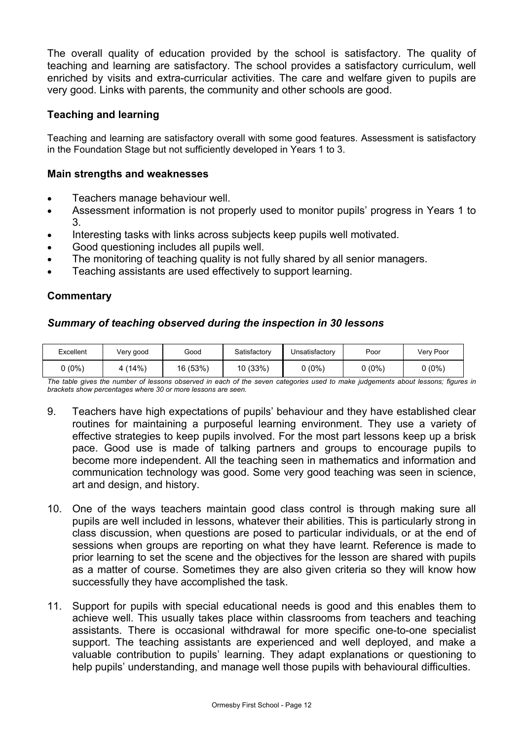The overall quality of education provided by the school is satisfactory. The quality of teaching and learning are satisfactory. The school provides a satisfactory curriculum, well enriched by visits and extra-curricular activities. The care and welfare given to pupils are very good. Links with parents, the community and other schools are good.

### **Teaching and learning**

Teaching and learning are satisfactory overall with some good features. Assessment is satisfactory in the Foundation Stage but not sufficiently developed in Years 1 to 3.

### **Main strengths and weaknesses**

- Teachers manage behaviour well.
- Assessment information is not properly used to monitor pupils' progress in Years 1 to 3.
- Interesting tasks with links across subjects keep pupils well motivated.
- Good questioning includes all pupils well.
- The monitoring of teaching quality is not fully shared by all senior managers.
- Teaching assistants are used effectively to support learning.

### **Commentary**

### *Summary of teaching observed during the inspection in 30 lessons*

| Excellent | Very good | Good     | Satisfactory | Unsatisfactory | Poor    | Very Poor |
|-----------|-----------|----------|--------------|----------------|---------|-----------|
| $(0\%)$   | $(14\%)$  | 16 (53%) | 10 (33%)     | ს (0%) ს       | $(0\%)$ | 0 (0%)    |

*The table gives the number of lessons observed in each of the seven categories used to make judgements about lessons; figures in brackets show percentages where 30 or more lessons are seen.*

- 9. Teachers have high expectations of pupils' behaviour and they have established clear routines for maintaining a purposeful learning environment. They use a variety of effective strategies to keep pupils involved. For the most part lessons keep up a brisk pace. Good use is made of talking partners and groups to encourage pupils to become more independent. All the teaching seen in mathematics and information and communication technology was good. Some very good teaching was seen in science, art and design, and history.
- 10. One of the ways teachers maintain good class control is through making sure all pupils are well included in lessons, whatever their abilities. This is particularly strong in class discussion, when questions are posed to particular individuals, or at the end of sessions when groups are reporting on what they have learnt. Reference is made to prior learning to set the scene and the objectives for the lesson are shared with pupils as a matter of course. Sometimes they are also given criteria so they will know how successfully they have accomplished the task.
- 11. Support for pupils with special educational needs is good and this enables them to achieve well. This usually takes place within classrooms from teachers and teaching assistants. There is occasional withdrawal for more specific one-to-one specialist support. The teaching assistants are experienced and well deployed, and make a valuable contribution to pupils' learning. They adapt explanations or questioning to help pupils' understanding, and manage well those pupils with behavioural difficulties.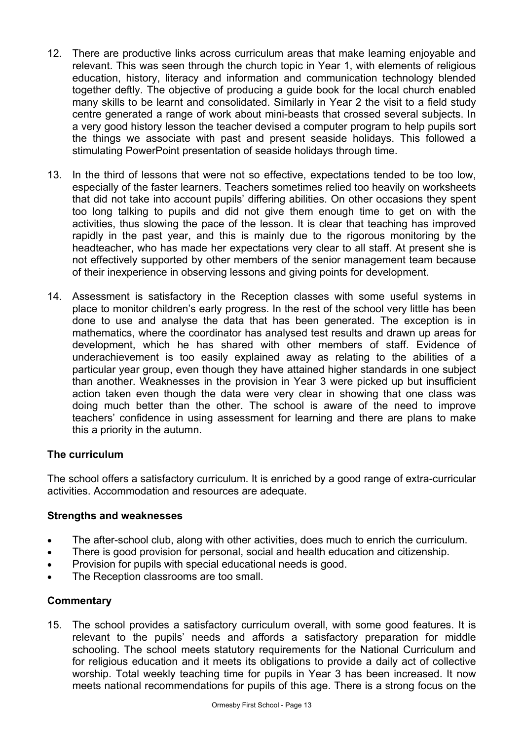- 12. There are productive links across curriculum areas that make learning enjoyable and relevant. This was seen through the church topic in Year 1, with elements of religious education, history, literacy and information and communication technology blended together deftly. The objective of producing a guide book for the local church enabled many skills to be learnt and consolidated. Similarly in Year 2 the visit to a field study centre generated a range of work about mini-beasts that crossed several subjects. In a very good history lesson the teacher devised a computer program to help pupils sort the things we associate with past and present seaside holidays. This followed a stimulating PowerPoint presentation of seaside holidays through time.
- 13. In the third of lessons that were not so effective, expectations tended to be too low, especially of the faster learners. Teachers sometimes relied too heavily on worksheets that did not take into account pupils' differing abilities. On other occasions they spent too long talking to pupils and did not give them enough time to get on with the activities, thus slowing the pace of the lesson. It is clear that teaching has improved rapidly in the past year, and this is mainly due to the rigorous monitoring by the headteacher, who has made her expectations very clear to all staff. At present she is not effectively supported by other members of the senior management team because of their inexperience in observing lessons and giving points for development.
- 14. Assessment is satisfactory in the Reception classes with some useful systems in place to monitor children's early progress. In the rest of the school very little has been done to use and analyse the data that has been generated. The exception is in mathematics, where the coordinator has analysed test results and drawn up areas for development, which he has shared with other members of staff. Evidence of underachievement is too easily explained away as relating to the abilities of a particular year group, even though they have attained higher standards in one subject than another. Weaknesses in the provision in Year 3 were picked up but insufficient action taken even though the data were very clear in showing that one class was doing much better than the other. The school is aware of the need to improve teachers' confidence in using assessment for learning and there are plans to make this a priority in the autumn.

### **The curriculum**

The school offers a satisfactory curriculum. It is enriched by a good range of extra-curricular activities. Accommodation and resources are adequate.

### **Strengths and weaknesses**

- The after-school club, along with other activities, does much to enrich the curriculum.
- There is good provision for personal, social and health education and citizenship.
- Provision for pupils with special educational needs is good.
- The Reception classrooms are too small.

### **Commentary**

15. The school provides a satisfactory curriculum overall, with some good features. It is relevant to the pupils' needs and affords a satisfactory preparation for middle schooling. The school meets statutory requirements for the National Curriculum and for religious education and it meets its obligations to provide a daily act of collective worship. Total weekly teaching time for pupils in Year 3 has been increased. It now meets national recommendations for pupils of this age. There is a strong focus on the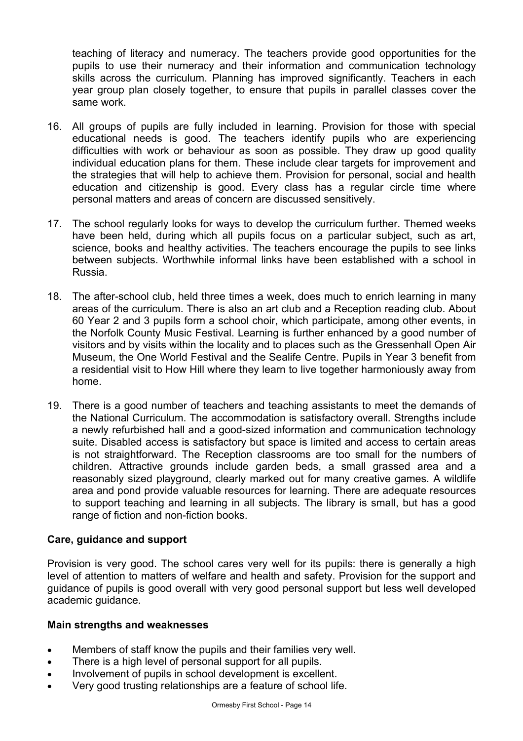teaching of literacy and numeracy. The teachers provide good opportunities for the pupils to use their numeracy and their information and communication technology skills across the curriculum. Planning has improved significantly. Teachers in each year group plan closely together, to ensure that pupils in parallel classes cover the same work.

- 16. All groups of pupils are fully included in learning. Provision for those with special educational needs is good. The teachers identify pupils who are experiencing difficulties with work or behaviour as soon as possible. They draw up good quality individual education plans for them. These include clear targets for improvement and the strategies that will help to achieve them. Provision for personal, social and health education and citizenship is good. Every class has a regular circle time where personal matters and areas of concern are discussed sensitively.
- 17. The school regularly looks for ways to develop the curriculum further. Themed weeks have been held, during which all pupils focus on a particular subject, such as art, science, books and healthy activities. The teachers encourage the pupils to see links between subjects. Worthwhile informal links have been established with a school in Russia.
- 18. The after-school club, held three times a week, does much to enrich learning in many areas of the curriculum. There is also an art club and a Reception reading club. About 60 Year 2 and 3 pupils form a school choir, which participate, among other events, in the Norfolk County Music Festival. Learning is further enhanced by a good number of visitors and by visits within the locality and to places such as the Gressenhall Open Air Museum, the One World Festival and the Sealife Centre. Pupils in Year 3 benefit from a residential visit to How Hill where they learn to live together harmoniously away from home.
- 19. There is a good number of teachers and teaching assistants to meet the demands of the National Curriculum. The accommodation is satisfactory overall. Strengths include a newly refurbished hall and a good-sized information and communication technology suite. Disabled access is satisfactory but space is limited and access to certain areas is not straightforward. The Reception classrooms are too small for the numbers of children. Attractive grounds include garden beds, a small grassed area and a reasonably sized playground, clearly marked out for many creative games. A wildlife area and pond provide valuable resources for learning. There are adequate resources to support teaching and learning in all subjects. The library is small, but has a good range of fiction and non-fiction books.

### **Care, guidance and support**

Provision is very good. The school cares very well for its pupils: there is generally a high level of attention to matters of welfare and health and safety. Provision for the support and guidance of pupils is good overall with very good personal support but less well developed academic guidance.

### **Main strengths and weaknesses**

- Members of staff know the pupils and their families very well.
- There is a high level of personal support for all pupils.
- Involvement of pupils in school development is excellent.
- Very good trusting relationships are a feature of school life.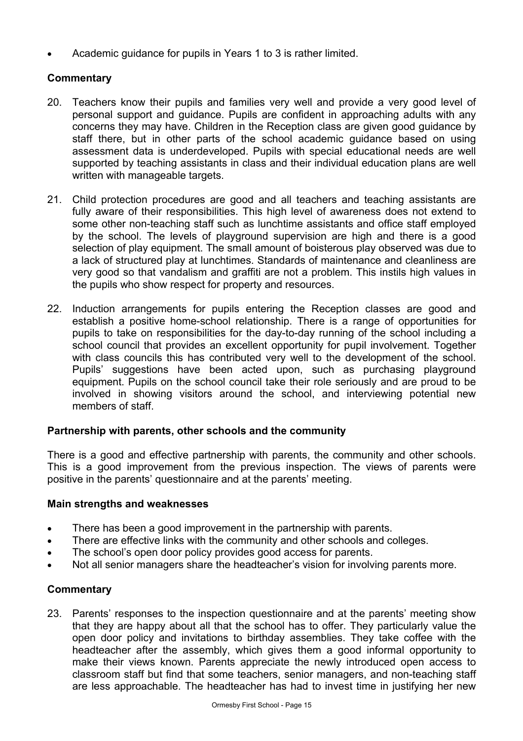• Academic guidance for pupils in Years 1 to 3 is rather limited.

# **Commentary**

- 20. Teachers know their pupils and families very well and provide a very good level of personal support and guidance. Pupils are confident in approaching adults with any concerns they may have. Children in the Reception class are given good guidance by staff there, but in other parts of the school academic guidance based on using assessment data is underdeveloped. Pupils with special educational needs are well supported by teaching assistants in class and their individual education plans are well written with manageable targets.
- 21. Child protection procedures are good and all teachers and teaching assistants are fully aware of their responsibilities. This high level of awareness does not extend to some other non-teaching staff such as lunchtime assistants and office staff employed by the school. The levels of playground supervision are high and there is a good selection of play equipment. The small amount of boisterous play observed was due to a lack of structured play at lunchtimes. Standards of maintenance and cleanliness are very good so that vandalism and graffiti are not a problem. This instils high values in the pupils who show respect for property and resources.
- 22. Induction arrangements for pupils entering the Reception classes are good and establish a positive home-school relationship. There is a range of opportunities for pupils to take on responsibilities for the day-to-day running of the school including a school council that provides an excellent opportunity for pupil involvement. Together with class councils this has contributed very well to the development of the school. Pupils' suggestions have been acted upon, such as purchasing playground equipment. Pupils on the school council take their role seriously and are proud to be involved in showing visitors around the school, and interviewing potential new members of staff.

### **Partnership with parents, other schools and the community**

There is a good and effective partnership with parents, the community and other schools. This is a good improvement from the previous inspection. The views of parents were positive in the parents' questionnaire and at the parents' meeting.

### **Main strengths and weaknesses**

- There has been a good improvement in the partnership with parents.
- There are effective links with the community and other schools and colleges.
- The school's open door policy provides good access for parents.
- Not all senior managers share the headteacher's vision for involving parents more.

### **Commentary**

23. Parents' responses to the inspection questionnaire and at the parents' meeting show that they are happy about all that the school has to offer. They particularly value the open door policy and invitations to birthday assemblies. They take coffee with the headteacher after the assembly, which gives them a good informal opportunity to make their views known. Parents appreciate the newly introduced open access to classroom staff but find that some teachers, senior managers, and non-teaching staff are less approachable. The headteacher has had to invest time in justifying her new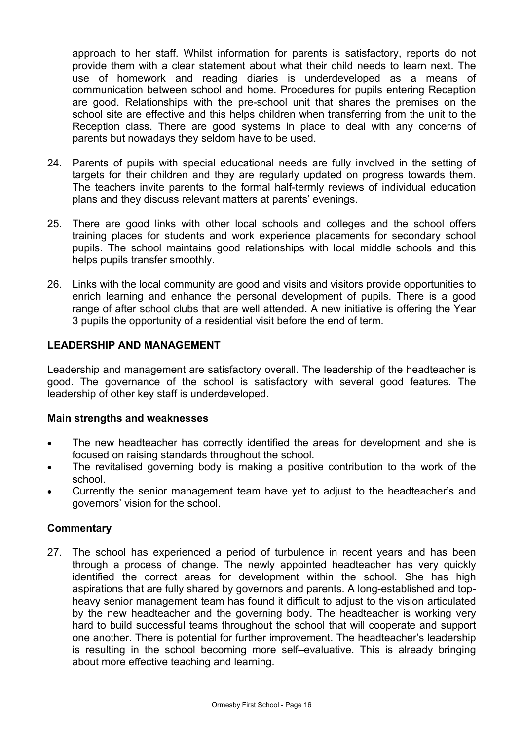approach to her staff. Whilst information for parents is satisfactory, reports do not provide them with a clear statement about what their child needs to learn next. The use of homework and reading diaries is underdeveloped as a means of communication between school and home. Procedures for pupils entering Reception are good. Relationships with the pre-school unit that shares the premises on the school site are effective and this helps children when transferring from the unit to the Reception class. There are good systems in place to deal with any concerns of parents but nowadays they seldom have to be used.

- 24. Parents of pupils with special educational needs are fully involved in the setting of targets for their children and they are regularly updated on progress towards them. The teachers invite parents to the formal half-termly reviews of individual education plans and they discuss relevant matters at parents' evenings.
- 25. There are good links with other local schools and colleges and the school offers training places for students and work experience placements for secondary school pupils. The school maintains good relationships with local middle schools and this helps pupils transfer smoothly.
- 26. Links with the local community are good and visits and visitors provide opportunities to enrich learning and enhance the personal development of pupils. There is a good range of after school clubs that are well attended. A new initiative is offering the Year 3 pupils the opportunity of a residential visit before the end of term.

### **LEADERSHIP AND MANAGEMENT**

Leadership and management are satisfactory overall. The leadership of the headteacher is good. The governance of the school is satisfactory with several good features. The leadership of other key staff is underdeveloped.

### **Main strengths and weaknesses**

- The new headteacher has correctly identified the areas for development and she is focused on raising standards throughout the school.
- The revitalised governing body is making a positive contribution to the work of the school.
- Currently the senior management team have yet to adjust to the headteacher's and governors' vision for the school.

### **Commentary**

27. The school has experienced a period of turbulence in recent years and has been through a process of change. The newly appointed headteacher has very quickly identified the correct areas for development within the school. She has high aspirations that are fully shared by governors and parents. A long-established and topheavy senior management team has found it difficult to adjust to the vision articulated by the new headteacher and the governing body. The headteacher is working very hard to build successful teams throughout the school that will cooperate and support one another. There is potential for further improvement. The headteacher's leadership is resulting in the school becoming more self–evaluative. This is already bringing about more effective teaching and learning.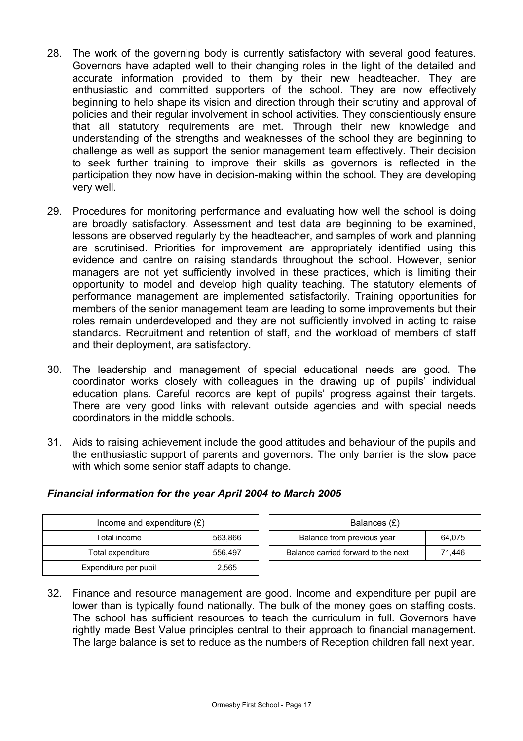- 28. The work of the governing body is currently satisfactory with several good features. Governors have adapted well to their changing roles in the light of the detailed and accurate information provided to them by their new headteacher. They are enthusiastic and committed supporters of the school. They are now effectively beginning to help shape its vision and direction through their scrutiny and approval of policies and their regular involvement in school activities. They conscientiously ensure that all statutory requirements are met. Through their new knowledge and understanding of the strengths and weaknesses of the school they are beginning to challenge as well as support the senior management team effectively. Their decision to seek further training to improve their skills as governors is reflected in the participation they now have in decision-making within the school. They are developing very well.
- 29. Procedures for monitoring performance and evaluating how well the school is doing are broadly satisfactory. Assessment and test data are beginning to be examined, lessons are observed regularly by the headteacher, and samples of work and planning are scrutinised. Priorities for improvement are appropriately identified using this evidence and centre on raising standards throughout the school. However, senior managers are not yet sufficiently involved in these practices, which is limiting their opportunity to model and develop high quality teaching. The statutory elements of performance management are implemented satisfactorily. Training opportunities for members of the senior management team are leading to some improvements but their roles remain underdeveloped and they are not sufficiently involved in acting to raise standards. Recruitment and retention of staff, and the workload of members of staff and their deployment, are satisfactory.
- 30. The leadership and management of special educational needs are good. The coordinator works closely with colleagues in the drawing up of pupils' individual education plans. Careful records are kept of pupils' progress against their targets. There are very good links with relevant outside agencies and with special needs coordinators in the middle schools.
- 31. Aids to raising achievement include the good attitudes and behaviour of the pupils and the enthusiastic support of parents and governors. The only barrier is the slow pace with which some senior staff adapts to change.

| Income and expenditure $(E)$ |         | Balances (£)                        |        |
|------------------------------|---------|-------------------------------------|--------|
| Total income                 | 563.866 | Balance from previous year          | 64.075 |
| Total expenditure            | 556.497 | Balance carried forward to the next | 71.446 |
| Expenditure per pupil        | 2,565   |                                     |        |

# *Financial information for the year April 2004 to March 2005*

32. Finance and resource management are good. Income and expenditure per pupil are lower than is typically found nationally. The bulk of the money goes on staffing costs. The school has sufficient resources to teach the curriculum in full. Governors have rightly made Best Value principles central to their approach to financial management. The large balance is set to reduce as the numbers of Reception children fall next year.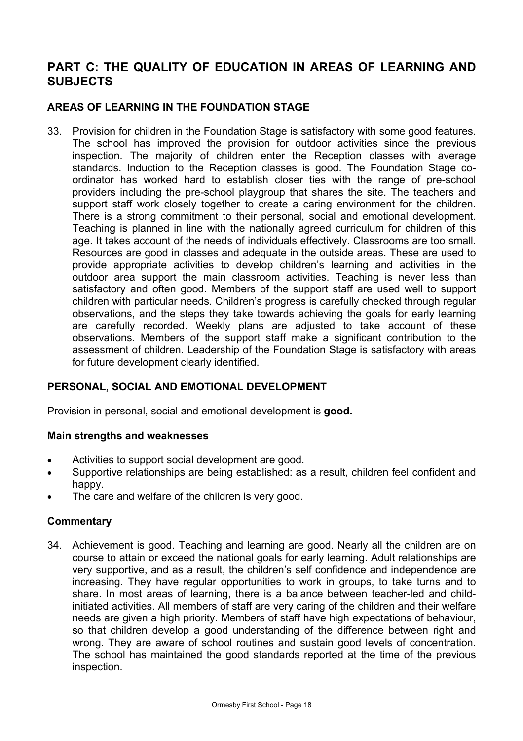# **PART C: THE QUALITY OF EDUCATION IN AREAS OF LEARNING AND SUBJECTS**

# **AREAS OF LEARNING IN THE FOUNDATION STAGE**

33. Provision for children in the Foundation Stage is satisfactory with some good features. The school has improved the provision for outdoor activities since the previous inspection. The majority of children enter the Reception classes with average standards. Induction to the Reception classes is good. The Foundation Stage coordinator has worked hard to establish closer ties with the range of pre-school providers including the pre-school playgroup that shares the site. The teachers and support staff work closely together to create a caring environment for the children. There is a strong commitment to their personal, social and emotional development. Teaching is planned in line with the nationally agreed curriculum for children of this age. It takes account of the needs of individuals effectively. Classrooms are too small. Resources are good in classes and adequate in the outside areas. These are used to provide appropriate activities to develop children's learning and activities in the outdoor area support the main classroom activities. Teaching is never less than satisfactory and often good. Members of the support staff are used well to support children with particular needs. Children's progress is carefully checked through regular observations, and the steps they take towards achieving the goals for early learning are carefully recorded. Weekly plans are adjusted to take account of these observations. Members of the support staff make a significant contribution to the assessment of children. Leadership of the Foundation Stage is satisfactory with areas for future development clearly identified.

### **PERSONAL, SOCIAL AND EMOTIONAL DEVELOPMENT**

Provision in personal, social and emotional development is **good.**

### **Main strengths and weaknesses**

- Activities to support social development are good.
- Supportive relationships are being established: as a result, children feel confident and happy.
- The care and welfare of the children is very good.

### **Commentary**

34. Achievement is good. Teaching and learning are good. Nearly all the children are on course to attain or exceed the national goals for early learning. Adult relationships are very supportive, and as a result, the children's self confidence and independence are increasing. They have regular opportunities to work in groups, to take turns and to share. In most areas of learning, there is a balance between teacher-led and childinitiated activities. All members of staff are very caring of the children and their welfare needs are given a high priority. Members of staff have high expectations of behaviour, so that children develop a good understanding of the difference between right and wrong. They are aware of school routines and sustain good levels of concentration. The school has maintained the good standards reported at the time of the previous inspection.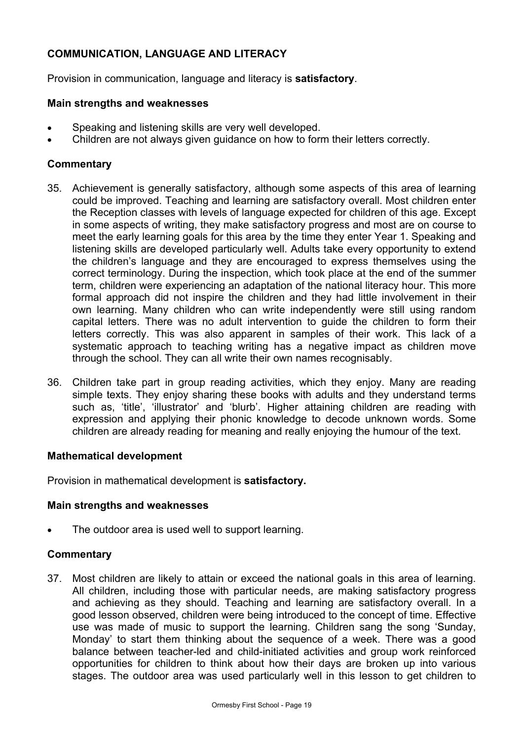# **COMMUNICATION, LANGUAGE AND LITERACY**

Provision in communication, language and literacy is **satisfactory**.

### **Main strengths and weaknesses**

- Speaking and listening skills are very well developed.
- Children are not always given guidance on how to form their letters correctly.

# **Commentary**

- 35. Achievement is generally satisfactory, although some aspects of this area of learning could be improved. Teaching and learning are satisfactory overall. Most children enter the Reception classes with levels of language expected for children of this age. Except in some aspects of writing, they make satisfactory progress and most are on course to meet the early learning goals for this area by the time they enter Year 1. Speaking and listening skills are developed particularly well. Adults take every opportunity to extend the children's language and they are encouraged to express themselves using the correct terminology. During the inspection, which took place at the end of the summer term, children were experiencing an adaptation of the national literacy hour. This more formal approach did not inspire the children and they had little involvement in their own learning. Many children who can write independently were still using random capital letters. There was no adult intervention to guide the children to form their letters correctly. This was also apparent in samples of their work. This lack of a systematic approach to teaching writing has a negative impact as children move through the school. They can all write their own names recognisably.
- 36. Children take part in group reading activities, which they enjoy. Many are reading simple texts. They enjoy sharing these books with adults and they understand terms such as, 'title', 'illustrator' and 'blurb'. Higher attaining children are reading with expression and applying their phonic knowledge to decode unknown words. Some children are already reading for meaning and really enjoying the humour of the text.

### **Mathematical development**

Provision in mathematical development is **satisfactory.** 

### **Main strengths and weaknesses**

The outdoor area is used well to support learning.

### **Commentary**

37. Most children are likely to attain or exceed the national goals in this area of learning. All children, including those with particular needs, are making satisfactory progress and achieving as they should. Teaching and learning are satisfactory overall. In a good lesson observed, children were being introduced to the concept of time. Effective use was made of music to support the learning. Children sang the song 'Sunday, Monday' to start them thinking about the sequence of a week. There was a good balance between teacher-led and child-initiated activities and group work reinforced opportunities for children to think about how their days are broken up into various stages. The outdoor area was used particularly well in this lesson to get children to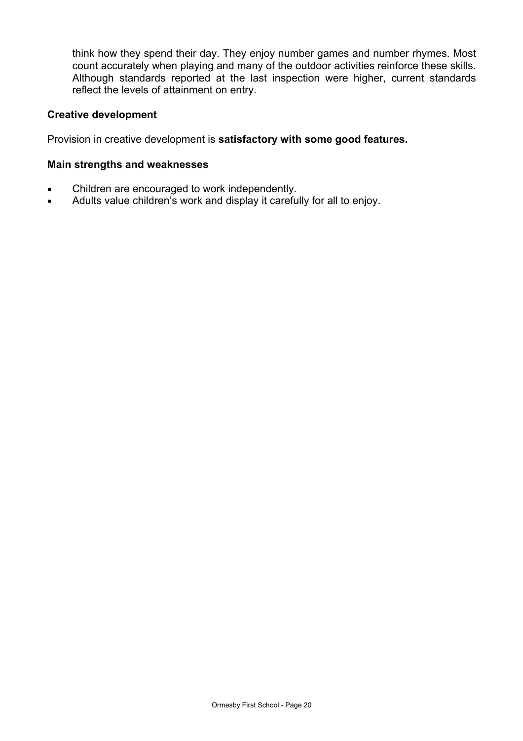think how they spend their day. They enjoy number games and number rhymes. Most count accurately when playing and many of the outdoor activities reinforce these skills. Although standards reported at the last inspection were higher, current standards reflect the levels of attainment on entry.

### **Creative development**

Provision in creative development is **satisfactory with some good features.** 

### **Main strengths and weaknesses**

- Children are encouraged to work independently.
- Adults value children's work and display it carefully for all to enjoy.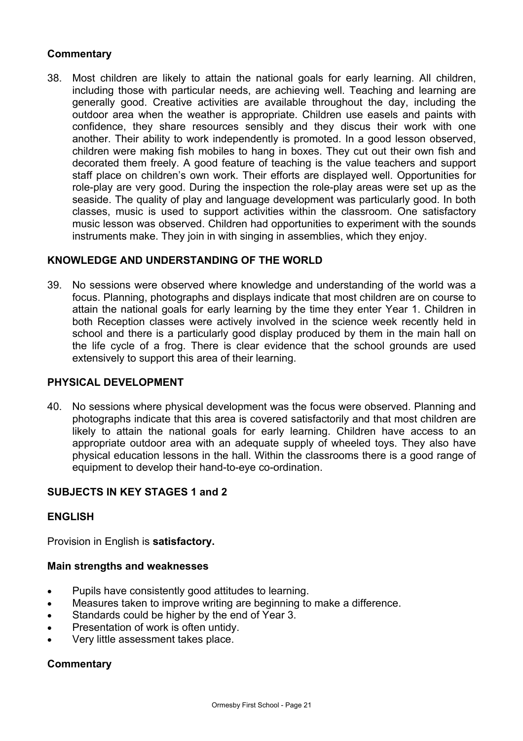### **Commentary**

38. Most children are likely to attain the national goals for early learning. All children, including those with particular needs, are achieving well. Teaching and learning are generally good. Creative activities are available throughout the day, including the outdoor area when the weather is appropriate. Children use easels and paints with confidence, they share resources sensibly and they discus their work with one another. Their ability to work independently is promoted. In a good lesson observed, children were making fish mobiles to hang in boxes. They cut out their own fish and decorated them freely. A good feature of teaching is the value teachers and support staff place on children's own work. Their efforts are displayed well. Opportunities for role-play are very good. During the inspection the role-play areas were set up as the seaside. The quality of play and language development was particularly good. In both classes, music is used to support activities within the classroom. One satisfactory music lesson was observed. Children had opportunities to experiment with the sounds instruments make. They join in with singing in assemblies, which they enjoy.

### **KNOWLEDGE AND UNDERSTANDING OF THE WORLD**

39. No sessions were observed where knowledge and understanding of the world was a focus. Planning, photographs and displays indicate that most children are on course to attain the national goals for early learning by the time they enter Year 1. Children in both Reception classes were actively involved in the science week recently held in school and there is a particularly good display produced by them in the main hall on the life cycle of a frog. There is clear evidence that the school grounds are used extensively to support this area of their learning.

### **PHYSICAL DEVELOPMENT**

40. No sessions where physical development was the focus were observed. Planning and photographs indicate that this area is covered satisfactorily and that most children are likely to attain the national goals for early learning. Children have access to an appropriate outdoor area with an adequate supply of wheeled toys. They also have physical education lessons in the hall. Within the classrooms there is a good range of equipment to develop their hand-to-eye co-ordination.

# **SUBJECTS IN KEY STAGES 1 and 2**

### **ENGLISH**

Provision in English is **satisfactory.** 

### **Main strengths and weaknesses**

- Pupils have consistently good attitudes to learning.
- Measures taken to improve writing are beginning to make a difference.
- Standards could be higher by the end of Year 3.
- Presentation of work is often untidy.
- Very little assessment takes place.

### **Commentary**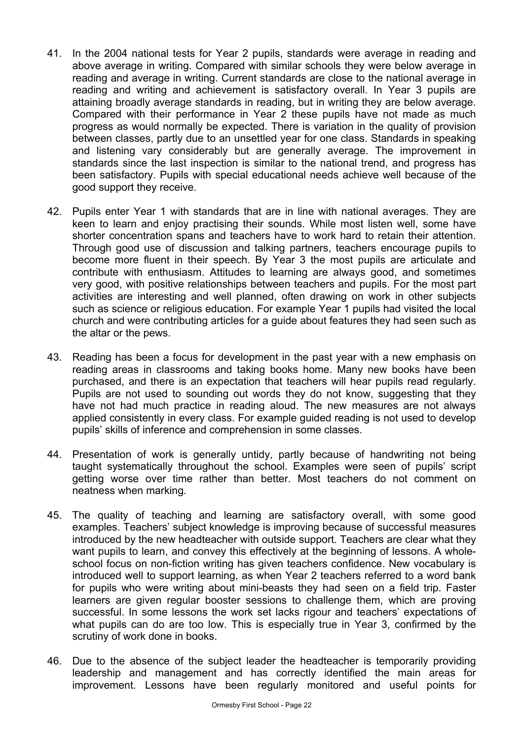- 41. In the 2004 national tests for Year 2 pupils, standards were average in reading and above average in writing. Compared with similar schools they were below average in reading and average in writing. Current standards are close to the national average in reading and writing and achievement is satisfactory overall. In Year 3 pupils are attaining broadly average standards in reading, but in writing they are below average. Compared with their performance in Year 2 these pupils have not made as much progress as would normally be expected. There is variation in the quality of provision between classes, partly due to an unsettled year for one class. Standards in speaking and listening vary considerably but are generally average. The improvement in standards since the last inspection is similar to the national trend, and progress has been satisfactory. Pupils with special educational needs achieve well because of the good support they receive.
- 42. Pupils enter Year 1 with standards that are in line with national averages. They are keen to learn and enjoy practising their sounds. While most listen well, some have shorter concentration spans and teachers have to work hard to retain their attention. Through good use of discussion and talking partners, teachers encourage pupils to become more fluent in their speech. By Year 3 the most pupils are articulate and contribute with enthusiasm. Attitudes to learning are always good, and sometimes very good, with positive relationships between teachers and pupils. For the most part activities are interesting and well planned, often drawing on work in other subjects such as science or religious education. For example Year 1 pupils had visited the local church and were contributing articles for a guide about features they had seen such as the altar or the pews.
- 43. Reading has been a focus for development in the past year with a new emphasis on reading areas in classrooms and taking books home. Many new books have been purchased, and there is an expectation that teachers will hear pupils read regularly. Pupils are not used to sounding out words they do not know, suggesting that they have not had much practice in reading aloud. The new measures are not always applied consistently in every class. For example guided reading is not used to develop pupils' skills of inference and comprehension in some classes.
- 44. Presentation of work is generally untidy, partly because of handwriting not being taught systematically throughout the school. Examples were seen of pupils' script getting worse over time rather than better. Most teachers do not comment on neatness when marking.
- 45. The quality of teaching and learning are satisfactory overall, with some good examples. Teachers' subject knowledge is improving because of successful measures introduced by the new headteacher with outside support. Teachers are clear what they want pupils to learn, and convey this effectively at the beginning of lessons. A wholeschool focus on non-fiction writing has given teachers confidence. New vocabulary is introduced well to support learning, as when Year 2 teachers referred to a word bank for pupils who were writing about mini-beasts they had seen on a field trip. Faster learners are given regular booster sessions to challenge them, which are proving successful. In some lessons the work set lacks rigour and teachers' expectations of what pupils can do are too low. This is especially true in Year 3, confirmed by the scrutiny of work done in books.
- 46. Due to the absence of the subject leader the headteacher is temporarily providing leadership and management and has correctly identified the main areas for improvement. Lessons have been regularly monitored and useful points for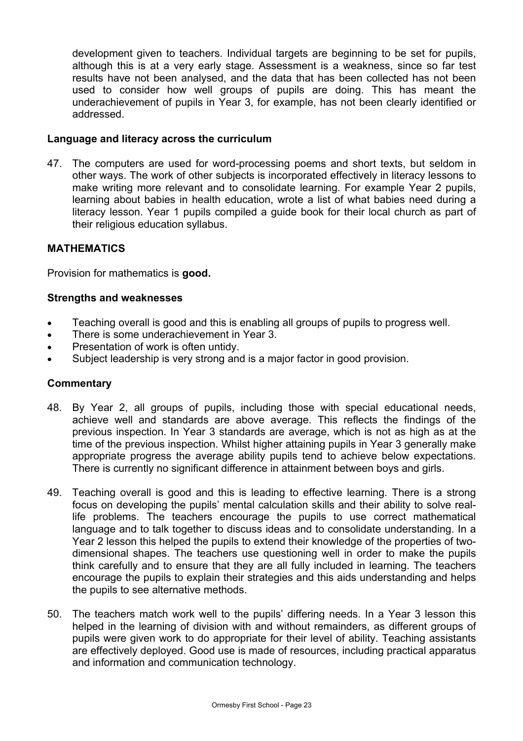development given to teachers. Individual targets are beginning to be set for pupils, although this is at a very early stage. Assessment is a weakness, since so far test results have not been analysed, and the data that has been collected has not been used to consider how well groups of pupils are doing. This has meant the underachievement of pupils in Year 3, for example, has not been clearly identified or addressed.

### **Language and literacy across the curriculum**

47. The computers are used for word-processing poems and short texts, but seldom in other ways. The work of other subjects is incorporated effectively in literacy lessons to make writing more relevant and to consolidate learning. For example Year 2 pupils, learning about babies in health education, wrote a list of what babies need during a literacy lesson. Year 1 pupils compiled a guide book for their local church as part of their religious education syllabus.

### **MATHEMATICS**

Provision for mathematics is **good.**

### **Strengths and weaknesses**

- Teaching overall is good and this is enabling all groups of pupils to progress well.
- There is some underachievement in Year 3.
- Presentation of work is often untidy.
- Subject leadership is very strong and is a major factor in good provision.

### **Commentary**

- 48. By Year 2, all groups of pupils, including those with special educational needs, achieve well and standards are above average. This reflects the findings of the previous inspection. In Year 3 standards are average, which is not as high as at the time of the previous inspection. Whilst higher attaining pupils in Year 3 generally make appropriate progress the average ability pupils tend to achieve below expectations. There is currently no significant difference in attainment between boys and girls.
- 49. Teaching overall is good and this is leading to effective learning. There is a strong focus on developing the pupils' mental calculation skills and their ability to solve reallife problems. The teachers encourage the pupils to use correct mathematical language and to talk together to discuss ideas and to consolidate understanding. In a Year 2 lesson this helped the pupils to extend their knowledge of the properties of twodimensional shapes. The teachers use questioning well in order to make the pupils think carefully and to ensure that they are all fully included in learning. The teachers encourage the pupils to explain their strategies and this aids understanding and helps the pupils to see alternative methods.
- 50. The teachers match work well to the pupils' differing needs. In a Year 3 lesson this helped in the learning of division with and without remainders, as different groups of pupils were given work to do appropriate for their level of ability. Teaching assistants are effectively deployed. Good use is made of resources, including practical apparatus and information and communication technology.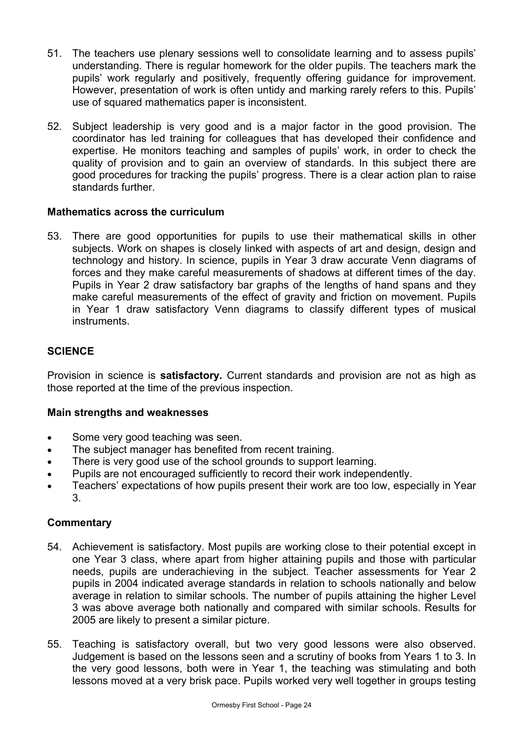- 51. The teachers use plenary sessions well to consolidate learning and to assess pupils' understanding. There is regular homework for the older pupils. The teachers mark the pupils' work regularly and positively, frequently offering guidance for improvement. However, presentation of work is often untidy and marking rarely refers to this. Pupils' use of squared mathematics paper is inconsistent.
- 52. Subject leadership is very good and is a major factor in the good provision. The coordinator has led training for colleagues that has developed their confidence and expertise. He monitors teaching and samples of pupils' work, in order to check the quality of provision and to gain an overview of standards. In this subject there are good procedures for tracking the pupils' progress. There is a clear action plan to raise standards further.

### **Mathematics across the curriculum**

53. There are good opportunities for pupils to use their mathematical skills in other subjects. Work on shapes is closely linked with aspects of art and design, design and technology and history. In science, pupils in Year 3 draw accurate Venn diagrams of forces and they make careful measurements of shadows at different times of the day. Pupils in Year 2 draw satisfactory bar graphs of the lengths of hand spans and they make careful measurements of the effect of gravity and friction on movement. Pupils in Year 1 draw satisfactory Venn diagrams to classify different types of musical instruments.

# **SCIENCE**

Provision in science is **satisfactory.** Current standards and provision are not as high as those reported at the time of the previous inspection.

### **Main strengths and weaknesses**

- Some very good teaching was seen.
- The subject manager has benefited from recent training.
- There is very good use of the school grounds to support learning.
- Pupils are not encouraged sufficiently to record their work independently.
- Teachers' expectations of how pupils present their work are too low, especially in Year 3.

### **Commentary**

- 54. Achievement is satisfactory. Most pupils are working close to their potential except in one Year 3 class, where apart from higher attaining pupils and those with particular needs, pupils are underachieving in the subject. Teacher assessments for Year 2 pupils in 2004 indicated average standards in relation to schools nationally and below average in relation to similar schools. The number of pupils attaining the higher Level 3 was above average both nationally and compared with similar schools. Results for 2005 are likely to present a similar picture.
- 55. Teaching is satisfactory overall, but two very good lessons were also observed. Judgement is based on the lessons seen and a scrutiny of books from Years 1 to 3. In the very good lessons, both were in Year 1, the teaching was stimulating and both lessons moved at a very brisk pace. Pupils worked very well together in groups testing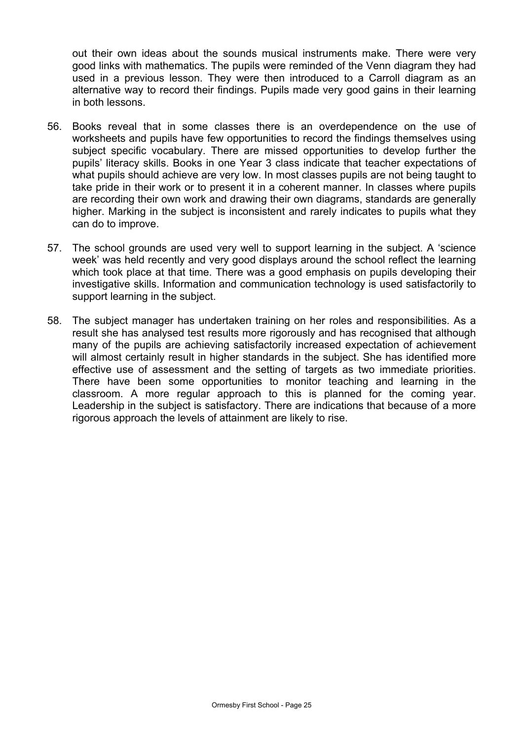out their own ideas about the sounds musical instruments make. There were very good links with mathematics. The pupils were reminded of the Venn diagram they had used in a previous lesson. They were then introduced to a Carroll diagram as an alternative way to record their findings. Pupils made very good gains in their learning in both lessons.

- 56. Books reveal that in some classes there is an overdependence on the use of worksheets and pupils have few opportunities to record the findings themselves using subject specific vocabulary. There are missed opportunities to develop further the pupils' literacy skills. Books in one Year 3 class indicate that teacher expectations of what pupils should achieve are very low. In most classes pupils are not being taught to take pride in their work or to present it in a coherent manner. In classes where pupils are recording their own work and drawing their own diagrams, standards are generally higher. Marking in the subject is inconsistent and rarely indicates to pupils what they can do to improve.
- 57. The school grounds are used very well to support learning in the subject. A 'science week' was held recently and very good displays around the school reflect the learning which took place at that time. There was a good emphasis on pupils developing their investigative skills. Information and communication technology is used satisfactorily to support learning in the subject.
- 58. The subject manager has undertaken training on her roles and responsibilities. As a result she has analysed test results more rigorously and has recognised that although many of the pupils are achieving satisfactorily increased expectation of achievement will almost certainly result in higher standards in the subject. She has identified more effective use of assessment and the setting of targets as two immediate priorities. There have been some opportunities to monitor teaching and learning in the classroom. A more regular approach to this is planned for the coming year. Leadership in the subject is satisfactory. There are indications that because of a more rigorous approach the levels of attainment are likely to rise.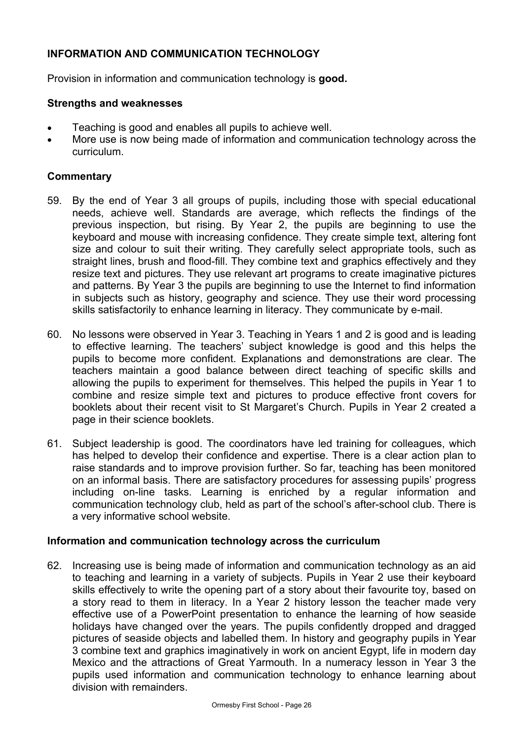# **INFORMATION AND COMMUNICATION TECHNOLOGY**

Provision in information and communication technology is **good.**

### **Strengths and weaknesses**

- Teaching is good and enables all pupils to achieve well.
- More use is now being made of information and communication technology across the curriculum.

### **Commentary**

- 59. By the end of Year 3 all groups of pupils, including those with special educational needs, achieve well. Standards are average, which reflects the findings of the previous inspection, but rising. By Year 2, the pupils are beginning to use the keyboard and mouse with increasing confidence. They create simple text, altering font size and colour to suit their writing. They carefully select appropriate tools, such as straight lines, brush and flood-fill. They combine text and graphics effectively and they resize text and pictures. They use relevant art programs to create imaginative pictures and patterns. By Year 3 the pupils are beginning to use the Internet to find information in subjects such as history, geography and science. They use their word processing skills satisfactorily to enhance learning in literacy. They communicate by e-mail.
- 60. No lessons were observed in Year 3. Teaching in Years 1 and 2 is good and is leading to effective learning. The teachers' subject knowledge is good and this helps the pupils to become more confident. Explanations and demonstrations are clear. The teachers maintain a good balance between direct teaching of specific skills and allowing the pupils to experiment for themselves. This helped the pupils in Year 1 to combine and resize simple text and pictures to produce effective front covers for booklets about their recent visit to St Margaret's Church. Pupils in Year 2 created a page in their science booklets.
- 61. Subject leadership is good. The coordinators have led training for colleagues, which has helped to develop their confidence and expertise. There is a clear action plan to raise standards and to improve provision further. So far, teaching has been monitored on an informal basis. There are satisfactory procedures for assessing pupils' progress including on-line tasks. Learning is enriched by a regular information and communication technology club, held as part of the school's after-school club. There is a very informative school website.

### **Information and communication technology across the curriculum**

62. Increasing use is being made of information and communication technology as an aid to teaching and learning in a variety of subjects. Pupils in Year 2 use their keyboard skills effectively to write the opening part of a story about their favourite toy, based on a story read to them in literacy. In a Year 2 history lesson the teacher made very effective use of a PowerPoint presentation to enhance the learning of how seaside holidays have changed over the years. The pupils confidently dropped and dragged pictures of seaside objects and labelled them. In history and geography pupils in Year 3 combine text and graphics imaginatively in work on ancient Egypt, life in modern day Mexico and the attractions of Great Yarmouth. In a numeracy lesson in Year 3 the pupils used information and communication technology to enhance learning about division with remainders.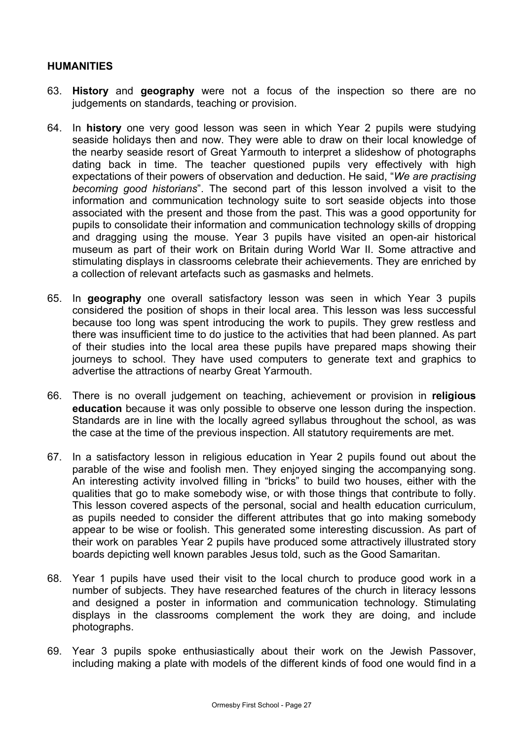### **HUMANITIES**

- 63. **History** and **geography** were not a focus of the inspection so there are no judgements on standards, teaching or provision.
- 64. In **history** one very good lesson was seen in which Year 2 pupils were studying seaside holidays then and now. They were able to draw on their local knowledge of the nearby seaside resort of Great Yarmouth to interpret a slideshow of photographs dating back in time. The teacher questioned pupils very effectively with high expectations of their powers of observation and deduction. He said, "*We are practising becoming good historians*". The second part of this lesson involved a visit to the information and communication technology suite to sort seaside objects into those associated with the present and those from the past. This was a good opportunity for pupils to consolidate their information and communication technology skills of dropping and dragging using the mouse. Year 3 pupils have visited an open-air historical museum as part of their work on Britain during World War II. Some attractive and stimulating displays in classrooms celebrate their achievements. They are enriched by a collection of relevant artefacts such as gasmasks and helmets.
- 65. In **geography** one overall satisfactory lesson was seen in which Year 3 pupils considered the position of shops in their local area. This lesson was less successful because too long was spent introducing the work to pupils. They grew restless and there was insufficient time to do justice to the activities that had been planned. As part of their studies into the local area these pupils have prepared maps showing their journeys to school. They have used computers to generate text and graphics to advertise the attractions of nearby Great Yarmouth.
- 66. There is no overall judgement on teaching, achievement or provision in **religious education** because it was only possible to observe one lesson during the inspection. Standards are in line with the locally agreed syllabus throughout the school, as was the case at the time of the previous inspection. All statutory requirements are met.
- 67. In a satisfactory lesson in religious education in Year 2 pupils found out about the parable of the wise and foolish men. They enjoyed singing the accompanying song. An interesting activity involved filling in "bricks" to build two houses, either with the qualities that go to make somebody wise, or with those things that contribute to folly. This lesson covered aspects of the personal, social and health education curriculum, as pupils needed to consider the different attributes that go into making somebody appear to be wise or foolish. This generated some interesting discussion. As part of their work on parables Year 2 pupils have produced some attractively illustrated story boards depicting well known parables Jesus told, such as the Good Samaritan.
- 68. Year 1 pupils have used their visit to the local church to produce good work in a number of subjects. They have researched features of the church in literacy lessons and designed a poster in information and communication technology. Stimulating displays in the classrooms complement the work they are doing, and include photographs.
- 69. Year 3 pupils spoke enthusiastically about their work on the Jewish Passover, including making a plate with models of the different kinds of food one would find in a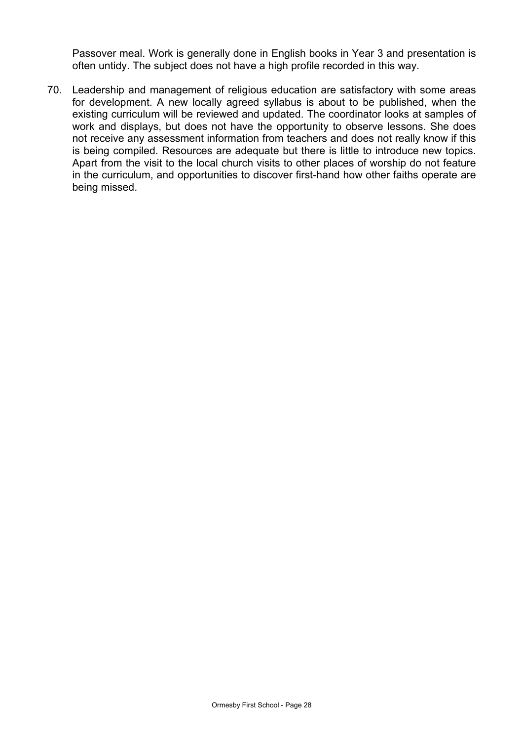Passover meal. Work is generally done in English books in Year 3 and presentation is often untidy. The subject does not have a high profile recorded in this way.

70. Leadership and management of religious education are satisfactory with some areas for development. A new locally agreed syllabus is about to be published, when the existing curriculum will be reviewed and updated. The coordinator looks at samples of work and displays, but does not have the opportunity to observe lessons. She does not receive any assessment information from teachers and does not really know if this is being compiled. Resources are adequate but there is little to introduce new topics. Apart from the visit to the local church visits to other places of worship do not feature in the curriculum, and opportunities to discover first-hand how other faiths operate are being missed.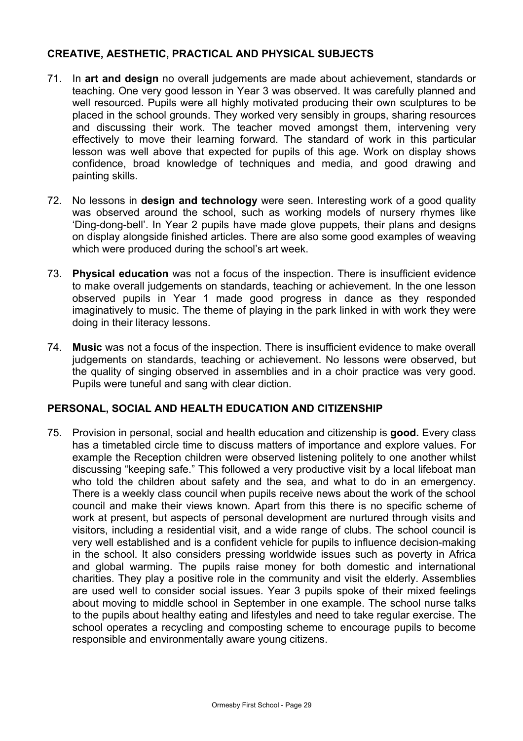# **CREATIVE, AESTHETIC, PRACTICAL AND PHYSICAL SUBJECTS**

- 71. In **art and design** no overall judgements are made about achievement, standards or teaching. One very good lesson in Year 3 was observed. It was carefully planned and well resourced. Pupils were all highly motivated producing their own sculptures to be placed in the school grounds. They worked very sensibly in groups, sharing resources and discussing their work. The teacher moved amongst them, intervening very effectively to move their learning forward. The standard of work in this particular lesson was well above that expected for pupils of this age. Work on display shows confidence, broad knowledge of techniques and media, and good drawing and painting skills.
- 72. No lessons in **design and technology** were seen. Interesting work of a good quality was observed around the school, such as working models of nursery rhymes like 'Ding-dong-bell'. In Year 2 pupils have made glove puppets, their plans and designs on display alongside finished articles. There are also some good examples of weaving which were produced during the school's art week.
- 73. **Physical education** was not a focus of the inspection. There is insufficient evidence to make overall judgements on standards, teaching or achievement. In the one lesson observed pupils in Year 1 made good progress in dance as they responded imaginatively to music. The theme of playing in the park linked in with work they were doing in their literacy lessons.
- 74. **Music** was not a focus of the inspection. There is insufficient evidence to make overall judgements on standards, teaching or achievement. No lessons were observed, but the quality of singing observed in assemblies and in a choir practice was very good. Pupils were tuneful and sang with clear diction.

### **PERSONAL, SOCIAL AND HEALTH EDUCATION AND CITIZENSHIP**

75. Provision in personal, social and health education and citizenship is **good.** Every class has a timetabled circle time to discuss matters of importance and explore values. For example the Reception children were observed listening politely to one another whilst discussing "keeping safe." This followed a very productive visit by a local lifeboat man who told the children about safety and the sea, and what to do in an emergency. There is a weekly class council when pupils receive news about the work of the school council and make their views known. Apart from this there is no specific scheme of work at present, but aspects of personal development are nurtured through visits and visitors, including a residential visit, and a wide range of clubs. The school council is very well established and is a confident vehicle for pupils to influence decision-making in the school. It also considers pressing worldwide issues such as poverty in Africa and global warming. The pupils raise money for both domestic and international charities. They play a positive role in the community and visit the elderly. Assemblies are used well to consider social issues. Year 3 pupils spoke of their mixed feelings about moving to middle school in September in one example. The school nurse talks to the pupils about healthy eating and lifestyles and need to take regular exercise. The school operates a recycling and composting scheme to encourage pupils to become responsible and environmentally aware young citizens.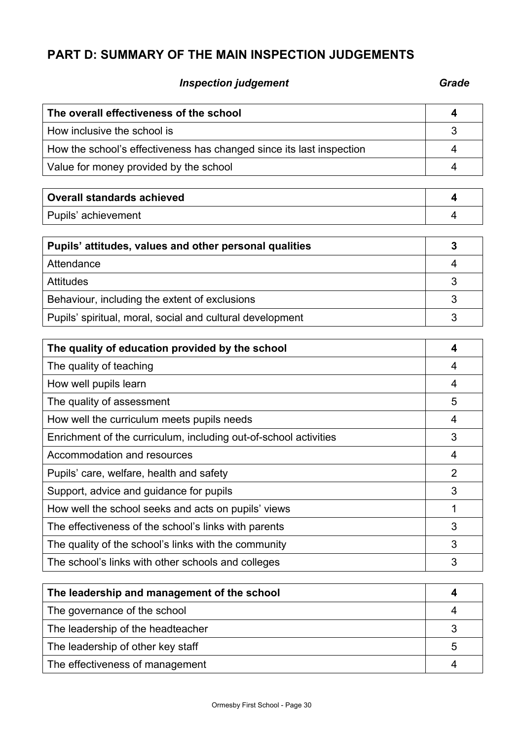# **PART D: SUMMARY OF THE MAIN INSPECTION JUDGEMENTS**

# **Inspection judgement** Grade **Grade**

| The overall effectiveness of the school                              |  |
|----------------------------------------------------------------------|--|
| How inclusive the school is                                          |  |
| How the school's effectiveness has changed since its last inspection |  |
| Value for money provided by the school                               |  |

| <b>Overall standards achieved</b> |  |
|-----------------------------------|--|
| Pupils' achievement               |  |

| Pupils' attitudes, values and other personal qualities    |  |
|-----------------------------------------------------------|--|
| Attendance                                                |  |
| <b>Attitudes</b>                                          |  |
| Behaviour, including the extent of exclusions             |  |
| Pupils' spiritual, moral, social and cultural development |  |

| The quality of education provided by the school                  |                |
|------------------------------------------------------------------|----------------|
| The quality of teaching                                          | 4              |
| How well pupils learn                                            | 4              |
| The quality of assessment                                        | 5              |
| How well the curriculum meets pupils needs                       | 4              |
| Enrichment of the curriculum, including out-of-school activities | 3              |
| Accommodation and resources                                      | 4              |
| Pupils' care, welfare, health and safety                         | $\overline{2}$ |
| Support, advice and guidance for pupils                          | 3              |
| How well the school seeks and acts on pupils' views              |                |
| The effectiveness of the school's links with parents             | 3              |
| The quality of the school's links with the community             | 3              |
| The school's links with other schools and colleges               | 3              |

| The leadership and management of the school |   |
|---------------------------------------------|---|
| The governance of the school                |   |
| The leadership of the headteacher           |   |
| The leadership of other key staff           | b |
| The effectiveness of management             |   |